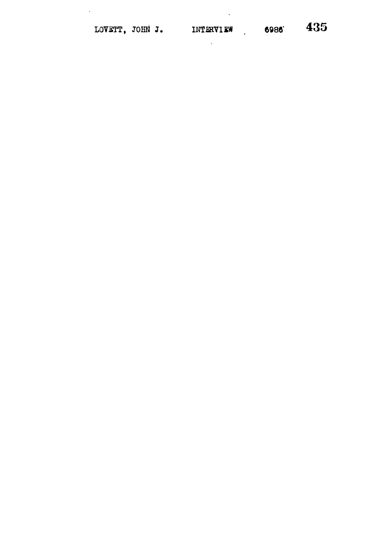$\mathcal{A}^{\mathcal{A}}$ 

 $\sim$ 

 $\mathcal{L}_{\mathcal{A}}$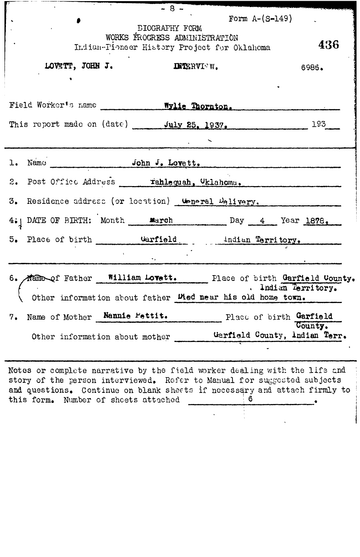|                                                                                                                                                                                                                                    | $-8 -$                         |            |                                                                                   |
|------------------------------------------------------------------------------------------------------------------------------------------------------------------------------------------------------------------------------------|--------------------------------|------------|-----------------------------------------------------------------------------------|
|                                                                                                                                                                                                                                    |                                |            | Form $A-(S-149)$                                                                  |
| DIOGRAFHY FORM<br>WORKS FROGRESS ADMINISTRATION                                                                                                                                                                                    |                                |            |                                                                                   |
| - 436<br>Indian-Pioneer History Project for Oklahoma                                                                                                                                                                               |                                |            |                                                                                   |
| LOVETT, JOHN J.                                                                                                                                                                                                                    |                                | INTERVICW. | 6986.                                                                             |
|                                                                                                                                                                                                                                    |                                |            |                                                                                   |
|                                                                                                                                                                                                                                    |                                |            |                                                                                   |
| Field Worker's name ___________ Wylie Thornton.                                                                                                                                                                                    |                                |            |                                                                                   |
| This report made on (date) July 25, 1937,                                                                                                                                                                                          |                                |            | 193                                                                               |
|                                                                                                                                                                                                                                    |                                |            |                                                                                   |
|                                                                                                                                                                                                                                    |                                |            |                                                                                   |
|                                                                                                                                                                                                                                    |                                |            |                                                                                   |
| 2. Post Office Address ____ rahlequah, Oklahomu.                                                                                                                                                                                   |                                |            |                                                                                   |
| 3. Residence address (or location) top-ral Delivery.                                                                                                                                                                               |                                |            |                                                                                   |
| 4. DATE OF BIRTH: Month <u>warch</u> Day 4 Year 1878.                                                                                                                                                                              |                                |            |                                                                                   |
| 5. Place of birth <b>Carfield Constant Constant Constant Constant Constant Constant Constant Constant Constant Constant Constant Constant Constant Constant Constant Constant Constant Constant Constant Constant Constant Con</b> |                                |            |                                                                                   |
|                                                                                                                                                                                                                                    |                                |            |                                                                                   |
|                                                                                                                                                                                                                                    |                                |            | 6. Mane of Father William Lovett. Place of birth Garfield County.                 |
|                                                                                                                                                                                                                                    |                                |            | . Indian Territory.<br>Other information about father Wed near his old home town. |
| Name of Mother Namnie Pettit.<br>7.                                                                                                                                                                                                |                                |            | Place of birth Garfield                                                           |
|                                                                                                                                                                                                                                    | Other information about mother |            | County.<br>Garfield County, Indian Terr.                                          |
|                                                                                                                                                                                                                                    |                                |            |                                                                                   |

Notes or complete narrative by the field worker dealing with the life and story of the person interviewed. Refer to Manual for suggested subjects and questions. Continue on blank sheets if necessary and attach firmly to this form. Number of sheets attached  $\frac{6}{1}$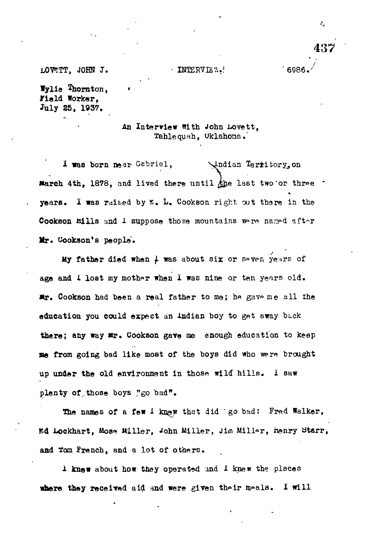L0V5TT, JOHN J. • INTER? 32 V " 6986.'

Wylie Thornton, Fiald Worker. July 25, 193?.

> An Interview With John Lovett, Yahlequah, Oklahona,'

I was born near Gabriel, Jndian Territory, on **March 4th. 1878, and lived there until**  $k$ **he last two or three**  $\cdot$ years. I was raited by £, L. Cookson right out there in the Cookson mills and 1 suppose those mountains were named after Mr. Cookson's people.

My father died when  $\frac{1}{2}$  was about six or seven years of age and 1 lost my mother when I was nine or ten years old.  $x$ . Cookson had been a real father to me; he gave me all the education you could expect an Indian boy to get away back there; any way Mr. Cookson gave me enough education to keep me from going bad like most of the boys did who were brought up under the old environment in those wild hills. I saw plenty of those boys "go bad".

The names of a few 1 knew that did "go bad: Fred Walker, Ed Lockhart, Mose Miller, John Miller, Jim Miller, henry Starr, and ton French, and a lot of others.

1 knew about how they operated and 1 knew the places where they received aid and were given their meals. I will  $\mathbf{J}_{\mathbf{A}}$ 

**437**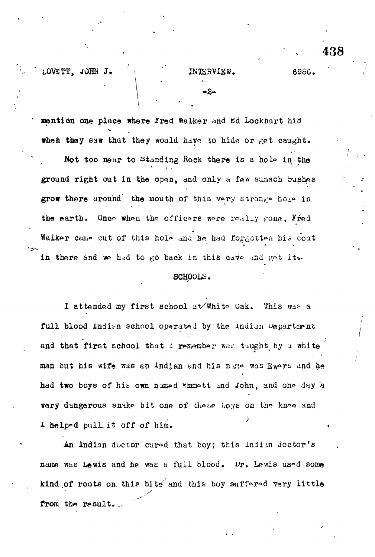LOVSTT, JOHN J. (1988) . INTERVIEW. 6986.

**1NTERVI**<br>
-2-

438

mention one place where fred walker and Ed Lockhart hid when they saw that they would have to hide or get caught. Not too near to Standing Rock there is a hole in the ground right out in the open, and only a few sumach bushes grow there around the mouth of this very strange hole in the earth. Once when the officers were railly gone, Fred Walker came out of this hole and he had forgotten his coat in there and we had to go back in this cave and get it w

## SCHOOLS.

I attended my first school at/White Uak. This was a full blood indian school operated by the indian uepartment and that first school that I remember was tuught by a white man but his wife was an Indian and his name was Ewers and he had two boys of his own named Emmett and John, and one day a very dangerous snake bit one of these boys on the knoe and 1 helped pull it off of him.

An Indian doctor cured that boy; this indiin doctor's name was Lewis and he was a full blood. Wr. Lewis used some kind of roots on this bite and this boy suffered very little **y** from the result...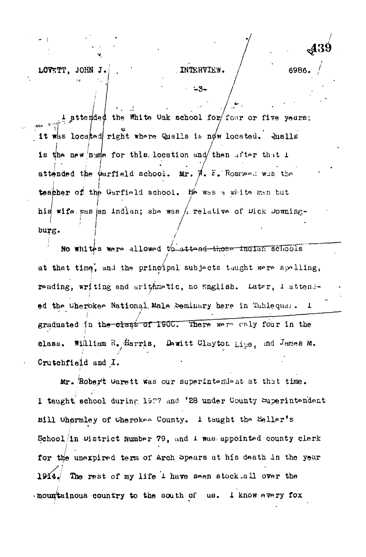JOHN J. LOVETT.

 $-3-$ 

 $\perp$  attended the White Oak achool for four or five years; it was located right where Qualls is now located. Qualls is the new nume for this location and then after that  $t$ attended the Warfield school. Mr.  $\sharp$ . F. Rosreed was the teacher of the Garfield school. He was a white man but his wife was en indian; she was / relative of Dick Downingburg.

No whites were allowed to attend those inclus schools at that time, and the principal subjects taught were spelling, reading, writing and arithmetic, no English. Later, I attended the Cherokee National Male Seminary here in Tahlequas.  $\mathbf{I}$ graduated in the olass of 1900. There were caly four in the William R. Harris, Dewitt Clayton Lipe, and James M. class. Crutchfield and I.

Mr. Robert Garett was our superintendent at that time. I taught school during 1927 and '28 under County Superintendent Bill Uhørmley of Cherokee County. I taught the Seller's School in District Number 79, and 1 was appointed county clerk for the unexpired term of Arch Spears at his death in the year 1914. The rest of my life 1 have seen stock all over the mountainous country to the south of us. I know every fox

6986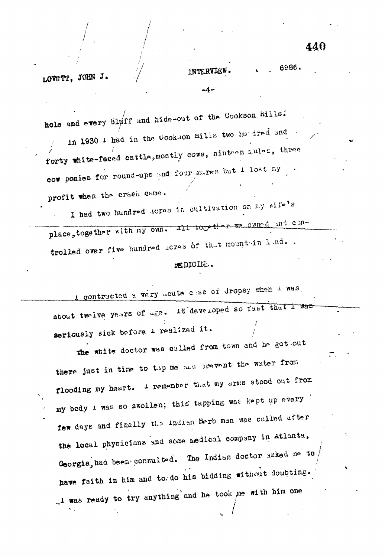INTERVIEW

hole and every bluff and hide-out of the Cookson Hills. in 1930 1 had in the Cookson Hills two hurdred and forty white-faced cattle, mostly cows, ninteen aules, three cow ponies for round-ups and four marss but 1 lost my profit when the crash came.

I had two hundred acres in cultivation on my wife's place, together with my own. all together we owned and controlled over five hundred heres of that mountain land..

## ESDICINE.

contracted a very acute case of dropsy when I was, about two lve years of dee. It developed so fust that I was seriously sick before 1 realized it.

the white doctor was called from town and he got out there just in time to tap me and prevent the water from flooding my heart. I remember that my arms stood out from my body 1 was so swollen; this tapping was kept up every few days and finally the indian Herb man was called after the local physicians and some medical company in Atlanta, Georgia, had been consulted. The Indian doctor asked me to, have faith in him and to do his bidding without doubting. ... was ready to try anything and he took me with him one

6986.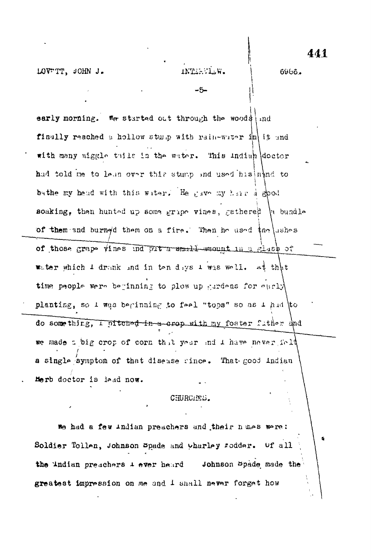LOVETT, JOHN J.

6966.

-5-

early morning. We started out through the woods and finally reached a hollow stump with rain-water in it and with many wiggle thile in the water. This indian doctor had told me to lean over this stamp and used his nand to bathe my head with this water. He gave my hear a good soaking, then hunted up some gripe vines, gathered is bundle of them and burned them on a fire. Then he used the ushes of those grape vines ind put a small-amount in a glash of water which  $1$  drank and in ten days  $1$  was well. at that time people were beginning to plow up gardens for early planting, so I was beginning to feel "tops" so as I had to do something, I pitched in a crop with my foster futher and we made thig crop of corn that year and I have never fold a single symptom of that disease since. That good indian Herb doctor is land now.

## CHURCHES.

We had a few indian preachers and their numes were: Soldier Tollen, Johnson Spade and wharley rodder. Of all the Andian preachers 1 ever heard Johnson Spade made the greatest impression on me and I shall never forget how